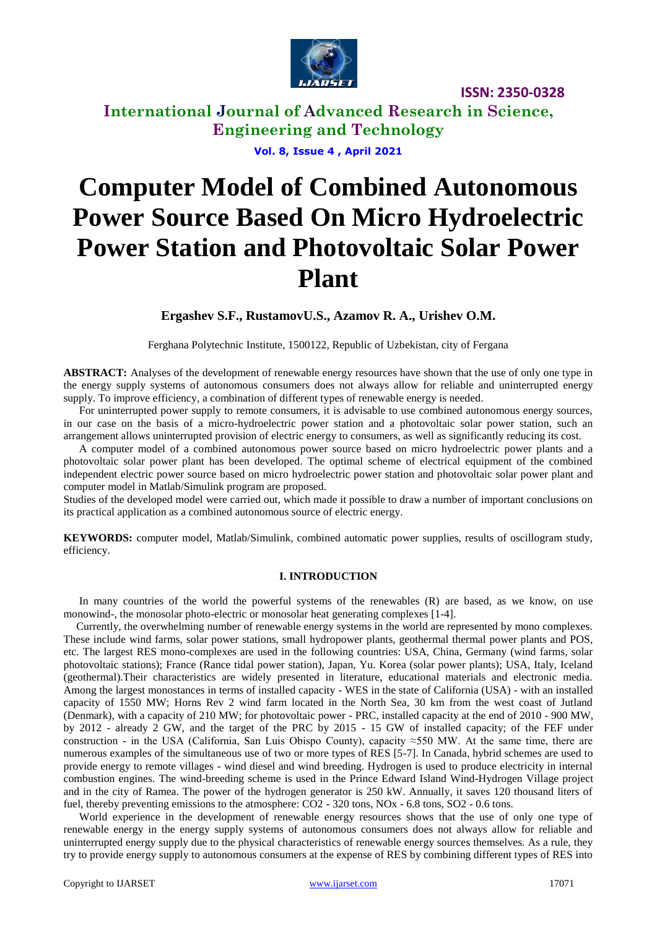

**International Journal of Advanced Research in Science, Engineering and Technology**

**Vol. 8, Issue 4 , April 2021**

# **Computer Model of Combined Autonomous Power Source Based On Micro Hydroelectric Power Station and Photovoltaic Solar Power Plant**

**Ergashev S.F., RustamovU.S., Azamov R. A., Urishev O.M.**

Ferghana Polytechnic Institute, 1500122, Republic of Uzbekistan, city of Fergana

**ABSTRACT:** Analyses of the development of renewable energy resources have shown that the use of only one type in the energy supply systems of autonomous consumers does not always allow for reliable and uninterrupted energy supply. To improve efficiency, a combination of different types of renewable energy is needed.

For uninterrupted power supply to remote consumers, it is advisable to use combined autonomous energy sources, in our case on the basis of a micro-hydroelectric power station and a photovoltaic solar power station, such an arrangement allows uninterrupted provision of electric energy to consumers, as well as significantly reducing its cost.

A computer model of a combined autonomous power source based on micro hydroelectric power plants and a photovoltaic solar power plant has been developed. The optimal scheme of electrical equipment of the combined independent electric power source based on micro hydroelectric power station and photovoltaic solar power plant and computer model in Matlab/Simulink program are proposed.

Studies of the developed model were carried out, which made it possible to draw a number of important conclusions on its practical application as a combined autonomous source of electric energy.

**KEYWORDS:** computer model, Matlab/Simulink, combined automatic power supplies, results of oscillogram study, efficiency.

#### **I. INTRODUCTION**

In many countries of the world the powerful systems of the renewables (R) are based, as we know, on use monowind-, the monosolar photo-electric or monosolar heat generating complexes [1-4].

Currently, the overwhelming number of renewable energy systems in the world are represented by mono complexes. These include wind farms, solar power stations, small hydropower plants, geothermal thermal power plants and POS, etc. The largest RES mono-complexes are used in the following countries: USA, China, Germany (wind farms, solar photovoltaic stations); France (Rance tidal power station), Japan, Yu. Korea (solar power plants); USA, Italy, Iceland (geothermal).Their characteristics are widely presented in literature, educational materials and electronic media. Among the largest monostances in terms of installed capacity - WES in the state of California (USA) - with an installed capacity of 1550 MW; Horns Rev 2 wind farm located in the North Sea, 30 km from the west coast of Jutland (Denmark), with a capacity of 210 MW; for photovoltaic power - PRC, installed capacity at the end of 2010 - 900 MW, by 2012 - already 2 GW, and the target of the PRC by 2015 - 15 GW of installed capacity; of the FEF under construction - in the USA (California, San Luis Obispo County), capacity ≈550 MW. At the same time, there are numerous examples of the simultaneous use of two or more types of RES [5-7]. In Canada, hybrid schemes are used to provide energy to remote villages - wind diesel and wind breeding. Hydrogen is used to produce electricity in internal combustion engines. The wind-breeding scheme is used in the Prince Edward Island Wind-Hydrogen Village project and in the city of Ramea. The power of the hydrogen generator is 250 kW. Annually, it saves 120 thousand liters of fuel, thereby preventing emissions to the atmosphere:  $CO2 - 320$  tons, NOx - 6.8 tons, SO2 - 0.6 tons.

World experience in the development of renewable energy resources shows that the use of only one type of renewable energy in the energy supply systems of autonomous consumers does not always allow for reliable and uninterrupted energy supply due to the physical characteristics of renewable energy sources themselves. As a rule, they try to provide energy supply to autonomous consumers at the expense of RES by combining different types of RES into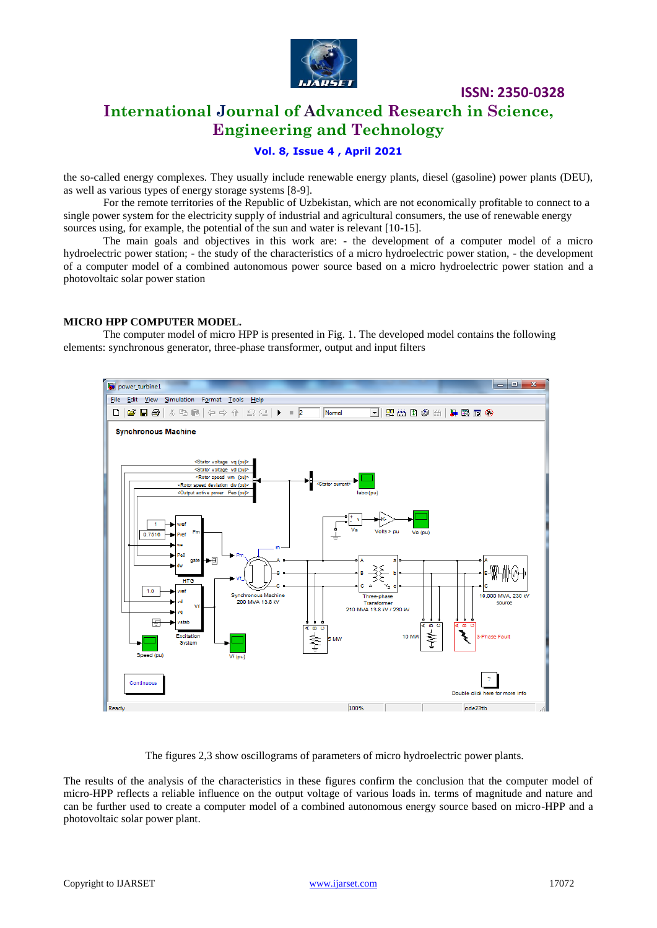

### **International Journal of Advanced Research in Science, Engineering and Technology**

### **Vol. 8, Issue 4 , April 2021**

the so-called energy complexes. They usually include renewable energy plants, diesel (gasoline) power plants (DEU), as well as various types of energy storage systems [8-9].

For the remote territories of the Republic of Uzbekistan, which are not economically profitable to connect to a single power system for the electricity supply of industrial and agricultural consumers, the use of renewable energy sources using, for example, the potential of the sun and water is relevant [10-15].

The main goals and objectives in this work are: - the development of a computer model of a micro hydroelectric power station; - the study of the characteristics of a micro hydroelectric power station, - the development of a computer model of a combined autonomous power source based on a micro hydroelectric power station and a photovoltaic solar power station

### **MICRO HPP COMPUTER MODEL.**

The computer model of micro HPP is presented in Fig. 1. The developed model contains the following elements: synchronous generator, three-phase transformer, output and input filters



The figures 2,3 show oscillograms of parameters of micro hydroelectric power plants.

The results of the analysis of the characteristics in these figures confirm the conclusion that the computer model of micro-HPP reflects a reliable influence on the output voltage of various loads in. terms of magnitude and nature and can be further used to create a computer model of a combined autonomous energy source based on micro-HPP and a photovoltaic solar power plant.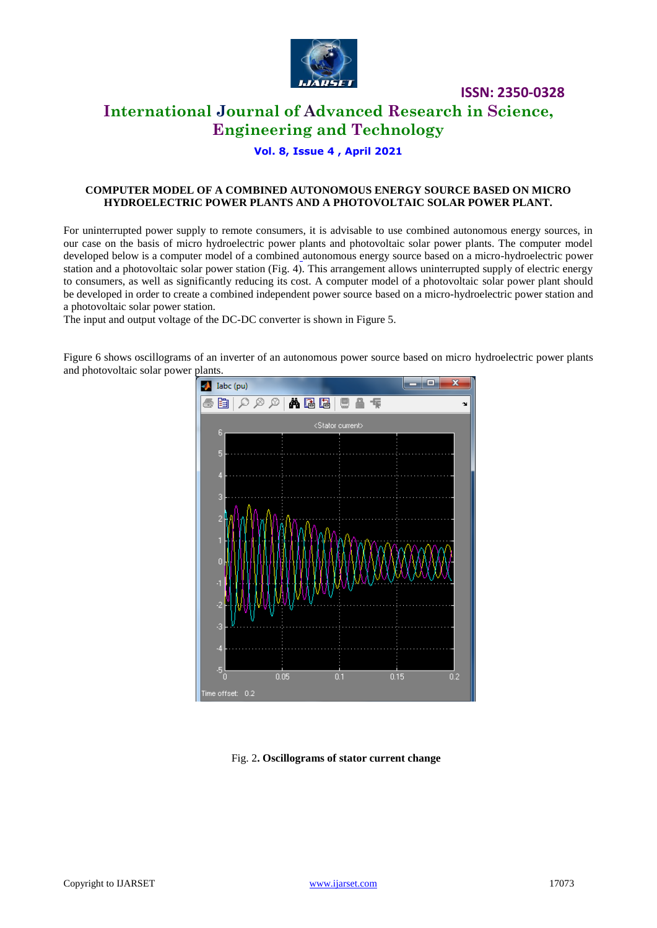

## **International Journal of Advanced Research in Science, Engineering and Technology**

### **Vol. 8, Issue 4 , April 2021**

### **COMPUTER MODEL OF A COMBINED AUTONOMOUS ENERGY SOURCE BASED ON MICRO HYDROELECTRIC POWER PLANTS AND A PHOTOVOLTAIC SOLAR POWER PLANT.**

For uninterrupted power supply to remote consumers, it is advisable to use combined autonomous energy sources, in our case on the basis of micro hydroelectric power plants and photovoltaic solar power plants. The computer model developed below is a computer model of a combined autonomous energy source based on a micro-hydroelectric power station and a photovoltaic solar power station (Fig. 4). This arrangement allows uninterrupted supply of electric energy to consumers, as well as significantly reducing its cost. A computer model of a photovoltaic solar power plant should be developed in order to create a combined independent power source based on a micro-hydroelectric power station and a photovoltaic solar power station.

The input and output voltage of the DC-DC converter is shown in Figure 5.

œ.  $\mathbf{L}$  Iabc (pu) ●自|○◎◎│▲国国│■■ 〒  $\overline{\mathbf{v}}$ <Stator current> 6  $0.05$  $0.1$ 0.15  $0.2$ me offset: 0.2

Figure 6 shows oscillograms of an inverter of an autonomous power source based on micro hydroelectric power plants and photovoltaic solar power plants.

### Fig. 2**. Oscillograms of stator current change**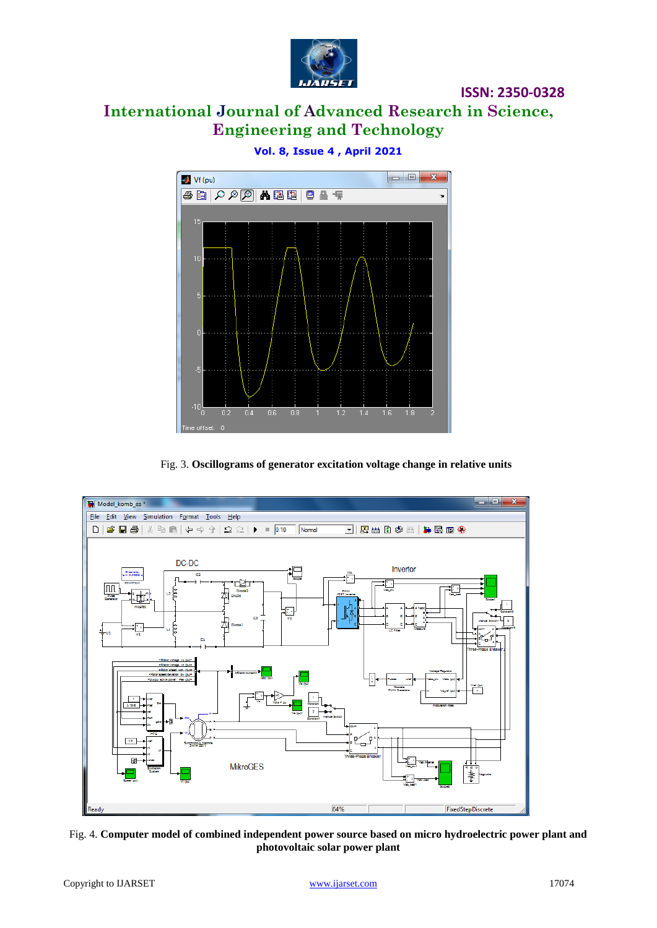

# **International Journal of Advanced Research in Science, Engineering and Technology**

**Vol. 8, Issue 4 , April 2021**

 $\begin{array}{|c|c|c|c|c|}\hline \multicolumn{1}{|c|}{\mathbf{I}} & \multicolumn{1}{|c|}{\mathbf{X}} \\\hline \multicolumn{1}{|c|}{\mathbf{I}} & \multicolumn{1}{|c|}{\mathbf{I}} & \multicolumn{1}{|c|}{\mathbf{X}} \\\hline \multicolumn{1}{|c|}{\mathbf{I}} & \multicolumn{1}{|c|}{\mathbf{I}} & \multicolumn{1}{|c|}{\mathbf{X}} \\\hline \multicolumn{1}{|c|}{\mathbf{I}} & \multicolumn{1}{|c|}{\mathbf{I}} & \multicolumn{1}{|c|}{\$ Vf (pu)  $10$ 



Fig. 3. **Oscillograms of generator excitation voltage change in relative units**



Fig. 4. **Computer model of combined independent power source based on micro hydroelectric power plant and photovoltaic solar power plant**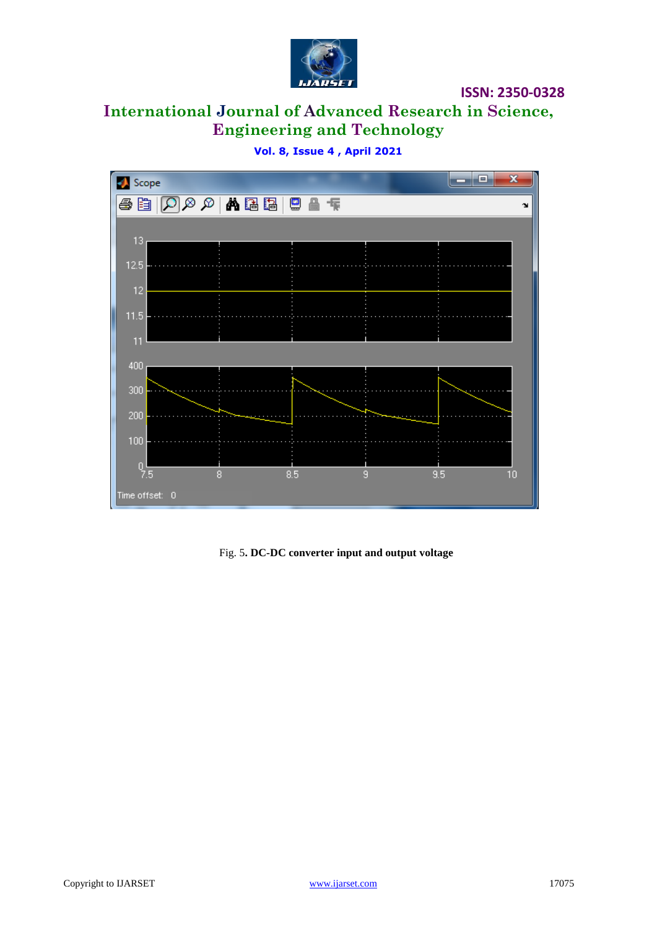

# **International Journal of Advanced Research in Science, Engineering and Technology**

**Vol. 8, Issue 4 , April 2021**



Fig. 5**. DC-DC converter input and output voltage**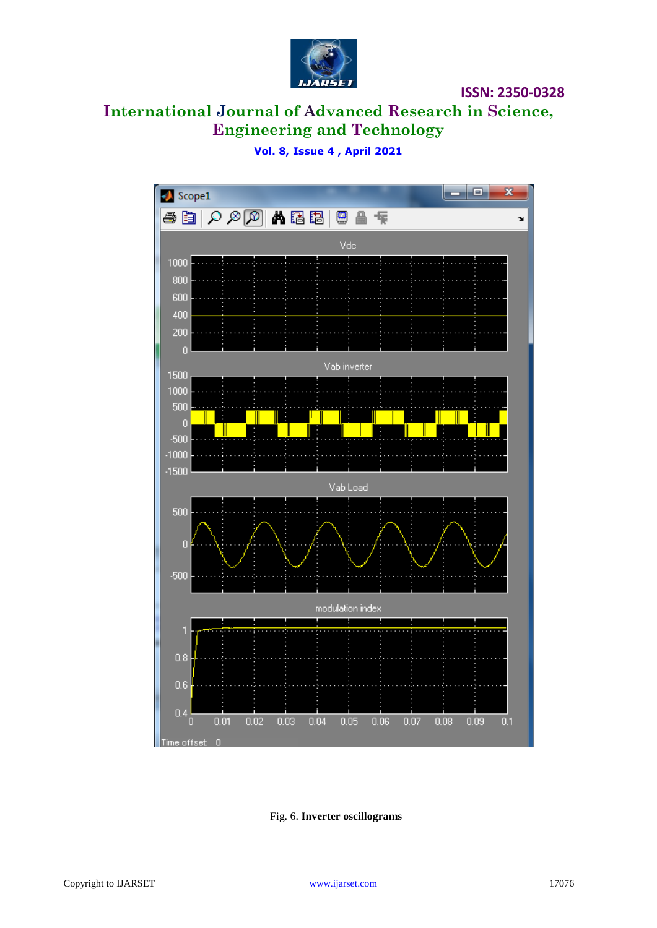

# **International Journal of Advanced Research in Science, Engineering and Technology**

### **Vol. 8, Issue 4 , April 2021**



Fig. 6. **Inverter oscillograms**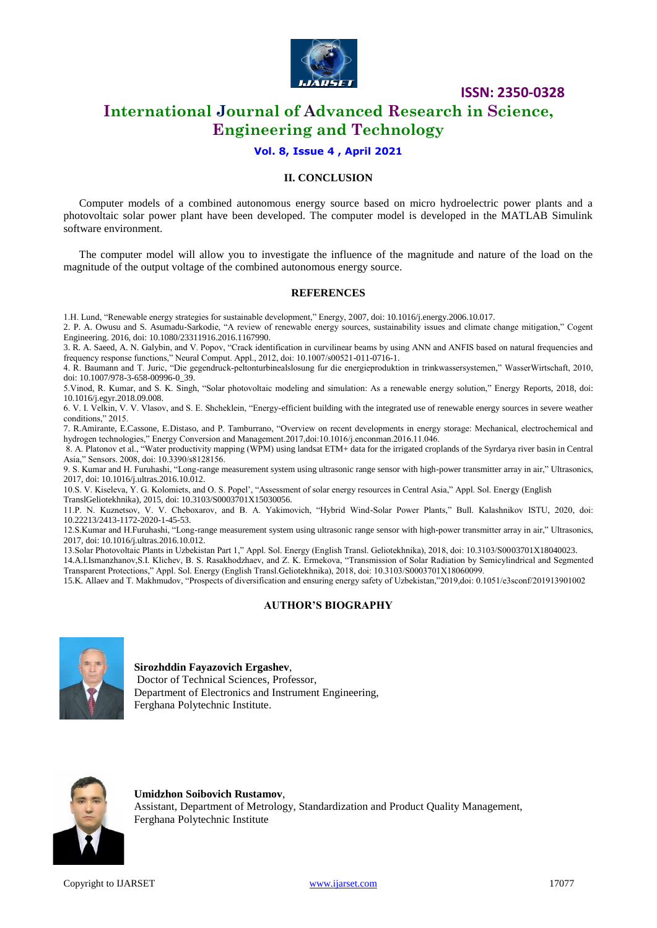

## **International Journal of Advanced Research in Science, Engineering and Technology**

### **Vol. 8, Issue 4 , April 2021**

### **II. CONCLUSION**

Computer models of a combined autonomous energy source based on micro hydroelectric power plants and a photovoltaic solar power plant have been developed. The computer model is developed in the MATLAB Simulink software environment.

The computer model will allow you to investigate the influence of the magnitude and nature of the load on the magnitude of the output voltage of the combined autonomous energy source.

#### **REFERENCES**

1.H. Lund, "Renewable energy strategies for sustainable development," Energy, 2007, doi: 10.1016/j.energy.2006.10.017.

2. P. A. Owusu and S. Asumadu-Sarkodie, "A review of renewable energy sources, sustainability issues and climate change mitigation," Cogent Engineering. 2016, doi: 10.1080/23311916.2016.1167990.

3. R. A. Saeed, A. N. Galybin, and V. Popov, "Crack identification in curvilinear beams by using ANN and ANFIS based on natural frequencies and frequency response functions," Neural Comput. Appl., 2012, doi: 10.1007/s00521-011-0716-1.

4. R. Baumann and T. Juric, "Die gegendruck-peltonturbinealslosung fur die energieproduktion in trinkwassersystemen," WasserWirtschaft, 2010, doi: 10.1007/978-3-658-00996-0\_39.

5.Vinod, R. Kumar, and S. K. Singh, "Solar photovoltaic modeling and simulation: As a renewable energy solution," Energy Reports, 2018, doi: 10.1016/j.egyr.2018.09.008.

6. V. I. Velkin, V. V. Vlasov, and S. E. Shcheklein, "Energy-efficient building with the integrated use of renewable energy sources in severe weather conditions," 2015.

7. R.Amirante, E.Cassone, E.Distaso, and P. Tamburrano, "Overview on recent developments in energy storage: Mechanical, electrochemical and hydrogen technologies," Energy Conversion and Management.2017,doi:10.1016/j.enconman.2016.11.046.

8. A. Platonov et al., "Water productivity mapping (WPM) using landsat ETM+ data for the irrigated croplands of the Syrdarya river basin in Central Asia," Sensors. 2008, doi: 10.3390/s8128156.

9. S. Kumar and H. Furuhashi, "Long-range measurement system using ultrasonic range sensor with high-power transmitter array in air," Ultrasonics, 2017, doi: 10.1016/j.ultras.2016.10.012.

10.S. V. Kiseleva, Y. G. Kolomiets, and O. S. Popel', "Assessment of solar energy resources in Central Asia," Appl. Sol. Energy (English TranslGeliotekhnika), 2015, doi: 10.3103/S0003701X15030056.

11.P. N. Kuznetsov, V. V. Cheboxarov, and B. A. Yakimovich, "Hybrid Wind-Solar Power Plants," Bull. Kalashnikov ISTU, 2020, doi: 10.22213/2413-1172-2020-1-45-53.

12.S.Kumar and H.Furuhashi, "Long-range measurement system using ultrasonic range sensor with high-power transmitter array in air," Ultrasonics, 2017, doi: 10.1016/j.ultras.2016.10.012.

13.Solar Photovoltaic Plants in Uzbekistan Part 1," Appl. Sol. Energy (English Transl. Geliotekhnika), 2018, doi: 10.3103/S0003701X18040023.

14.A.I.Ismanzhanov,S.I. Klichev, B. S. Rasakhodzhaev, and Z. K. Ermekova, "Transmission of Solar Radiation by Semicylindrical and Segmented Transparent Protections," Appl. Sol. Energy (English Transl.Geliotekhnika), 2018, doi: 10.3103/S0003701X18060099.

15.K. Allaev and T. Makhmudov, "Prospects of diversification and ensuring energy safety of Uzbekistan,"2019,doi: 0.1051/e3sconf/201913901002

#### **AUTHOR'S BIOGRAPHY**



**Sirozhddin Fayazovich Ergashev**, Doctor of Technical Sciences, Professor, Department of Electronics and Instrument Engineering, Ferghana Polytechnic Institute.



**Umidzhon Soibovich Rustamov**, Assistant, Department of Metrology, Standardization and Product Quality Management, Ferghana Polytechnic Institute

Copyright to IJARSET and the community of the control [www.ijarset.com](http://www.ijarset.com/) and the control of the control of the control of the control of the control of the control of the control of the control of the control of the control o